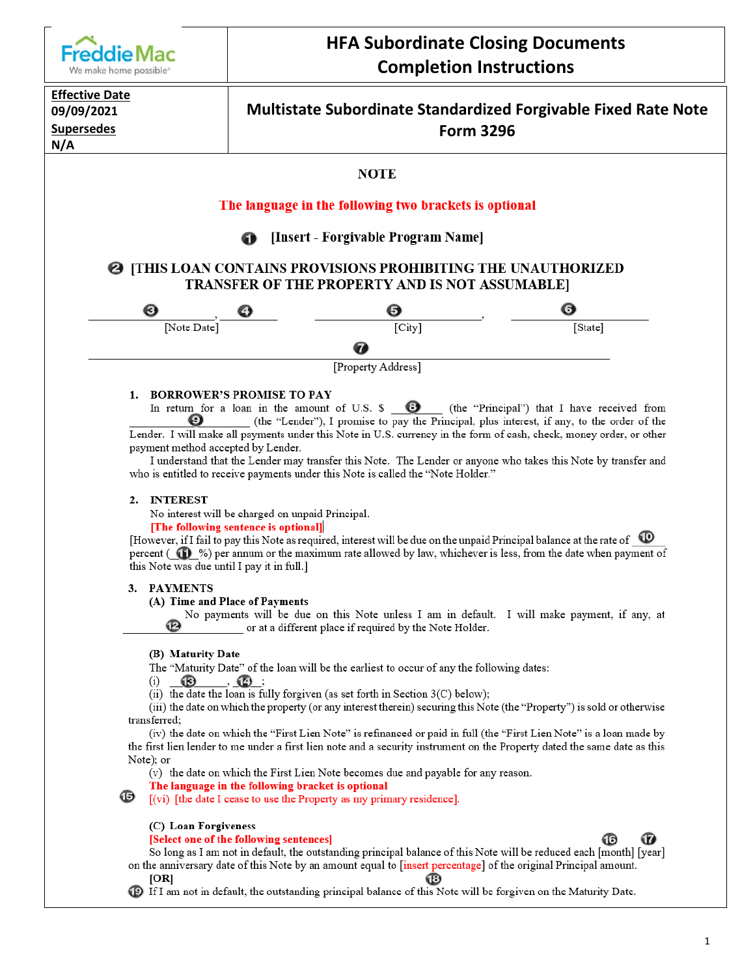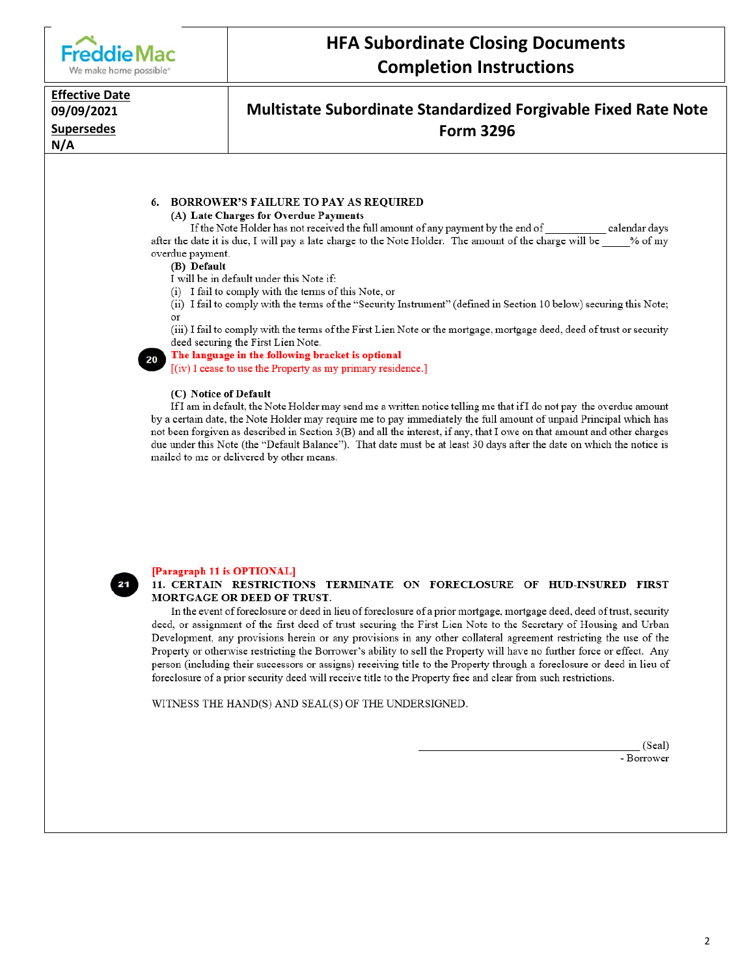

# **HFA Subordinate Closing Documents Completion Instructions**

#### **Effective Date** 09/09/2021 **Supersedes**  $N/A$

## Multistate Subordinate Standardized Forgivable Fixed Rate Note **Form 3296**

#### 6. BORROWER'S FAILURE TO PAY AS REQUIRED (A) Late Charges for Overdue Payments

If the Note Holder has not received the full amount of any payment by the end of \_\_\_\_\_\_\_ calendar days after the date it is due, I will pay a late charge to the Note Holder. The amount of the charge will be % of my overdue payment.

#### (B) Default

I will be in default under this Note if:

(i) I fail to comply with the terms of this Note, or

(ii) I fail to comply with the terms of the "Security Instrument" (defined in Section 10 below) securing this Note;  $_{\text{or}}$ 

(iii) I fail to comply with the terms of the First Lien Note or the mortgage, mortgage deed, deed of trust or security deed securing the First Lien Note.

The language in the following bracket is optional

[(iv) I cease to use the Property as my primary residence.]

#### (C) Notice of Default

If I am in default, the Note Holder may send me a written notice telling me that if I do not pay the overdue amount by a certain date, the Note Holder may require me to pay immediately the full amount of unpaid Principal which has not been forgiven as described in Section 3(B) and all the interest, if any, that I owe on that amount and other charges due under this Note (the "Default Balance"). That date must be at least 30 days after the date on which the notice is mailed to me or delivered by other means.



#### [Paragraph 11 is OPTIONAL]

#### 11. CERTAIN RESTRICTIONS TERMINATE ON FORECLOSURE OF HUD-INSURED FIRST MORTGAGE OR DEED OF TRUST.

In the event of foreclosure or deed in lieu of foreclosure of a prior mortgage, mortgage deed, deed of trust, security deed, or assignment of the first deed of trust securing the First Lien Note to the Secretary of Housing and Urban Development, any provisions herein or any provisions in any other collateral agreement restricting the use of the Property or otherwise restricting the Borrower's ability to sell the Property will have no further force or effect. Any person (including their successors or assigns) receiving title to the Property through a foreclosure or deed in lieu of foreclosure of a prior security deed will receive title to the Property free and clear from such restrictions.

WITNESS THE HAND(S) AND SEAL(S) OF THE UNDERSIGNED.

(Seal) - Borrower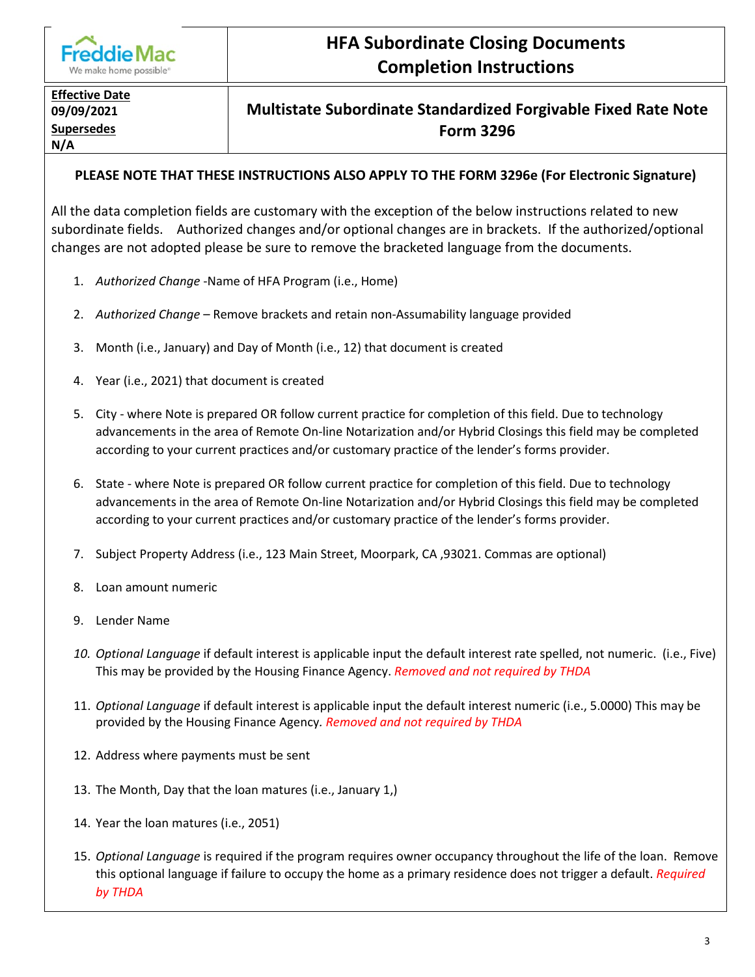

# **HFA Subordinate Closing Documents Completion Instructions**

# **Effective Date N/A**

## **09/09/2021 Multistate Subordinate Standardized Forgivable Fixed Rate Note Supersedes Form 3296**

### **PLEASE NOTE THAT THESE INSTRUCTIONS ALSO APPLY TO THE FORM 3296e (For Electronic Signature)**

All the data completion fields are customary with the exception of the below instructions related to new subordinate fields. Authorized changes and/or optional changes are in brackets. If the authorized/optional changes are not adopted please be sure to remove the bracketed language from the documents.

- 1. *Authorized Change* -Name of HFA Program (i.e., Home)
- 2. *Authorized Change* Remove brackets and retain non-Assumability language provided
- 3. Month (i.e., January) and Day of Month (i.e., 12) that document is created
- 4. Year (i.e., 2021) that document is created
- 5. City where Note is prepared OR follow current practice for completion of this field. Due to technology advancements in the area of Remote On-line Notarization and/or Hybrid Closings this field may be completed according to your current practices and/or customary practice of the lender's forms provider.
- 6. State where Note is prepared OR follow current practice for completion of this field. Due to technology advancements in the area of Remote On-line Notarization and/or Hybrid Closings this field may be completed according to your current practices and/or customary practice of the lender's forms provider.
- 7. Subject Property Address (i.e., 123 Main Street, Moorpark, CA ,93021. Commas are optional)
- 8. Loan amount numeric
- 9. Lender Name
- *10. Optional Language* if default interest is applicable input the default interest rate spelled, not numeric. (i.e., Five) This may be provided by the Housing Finance Agency. *Removed and not required by THDA*
- 11. *Optional Language* if default interest is applicable input the default interest numeric (i.e., 5.0000) This may be provided by the Housing Finance Agency*. Removed and not required by THDA*
- 12. Address where payments must be sent
- 13. The Month, Day that the loan matures (i.e., January 1,)
- 14. Year the loan matures (i.e., 2051)
- 15. *Optional Language* is required if the program requires owner occupancy throughout the life of the loan. Remove this optional language if failure to occupy the home as a primary residence does not trigger a default. *Required by THDA*